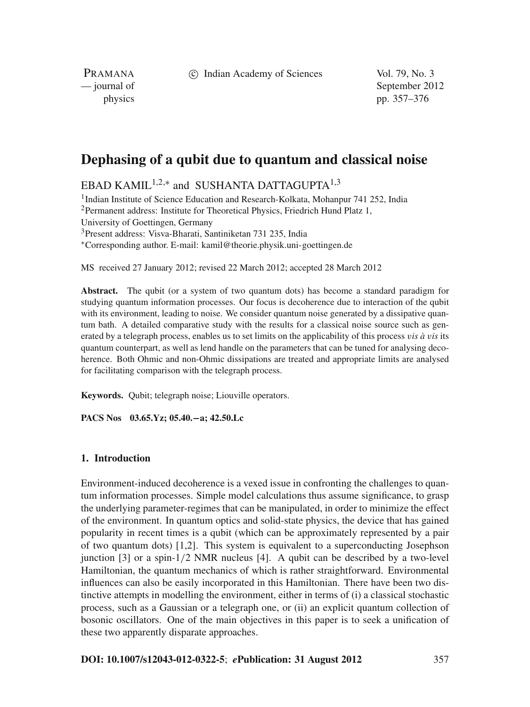c Indian Academy of Sciences Vol. 79, No. 3

PRAMANA

— journal of September 2012 physics pp. 357–376

# **Dephasing of a qubit due to quantum and classical noise**

EBAD KAMIL<sup>1,2,\*</sup> and SUSHANTA DATTAGUPTA<sup>1,3</sup>

<sup>1</sup>Indian Institute of Science Education and Research-Kolkata, Mohanpur 741 252, India <sup>2</sup>Permanent address: Institute for Theoretical Physics, Friedrich Hund Platz 1, University of Goettingen, Germany 3Present address: Visva-Bharati, Santiniketan 731 235, India <sup>∗</sup>Corresponding author. E-mail: kamil@theorie.physik.uni-goettingen.de

MS received 27 January 2012; revised 22 March 2012; accepted 28 March 2012

**Abstract.** The qubit (or a system of two quantum dots) has become a standard paradigm for studying quantum information processes. Our focus is decoherence due to interaction of the qubit with its environment, leading to noise. We consider quantum noise generated by a dissipative quantum bath. A detailed comparative study with the results for a classical noise source such as generated by a telegraph process, enables us to set limits on the applicability of this process v*is à* v*is* its quantum counterpart, as well as lend handle on the parameters that can be tuned for analysing decoherence. Both Ohmic and non-Ohmic dissipations are treated and appropriate limits are analysed for facilitating comparison with the telegraph process.

**Keywords.** Qubit; telegraph noise; Liouville operators.

**PACS Nos 03.65.Yz; 05.40.−a; 42.50.Lc**

# **1. Introduction**

Environment-induced decoherence is a vexed issue in confronting the challenges to quantum information processes. Simple model calculations thus assume significance, to grasp the underlying parameter-regimes that can be manipulated, in order to minimize the effect of the environment. In quantum optics and solid-state physics, the device that has gained popularity in recent times is a qubit (which can be approximately represented by a pair of two quantum dots) [1,2]. This system is equivalent to a superconducting Josephson junction  $\begin{bmatrix} 3 \end{bmatrix}$  or a spin- $\frac{1}{2}$  NMR nucleus  $\begin{bmatrix} 4 \end{bmatrix}$ . A qubit can be described by a two-level Hamiltonian, the quantum mechanics of which is rather straightforward. Environmental influences can also be easily incorporated in this Hamiltonian. There have been two distinctive attempts in modelling the environment, either in terms of (i) a classical stochastic process, such as a Gaussian or a telegraph one, or (ii) an explicit quantum collection of bosonic oscillators. One of the main objectives in this paper is to seek a unification of these two apparently disparate approaches.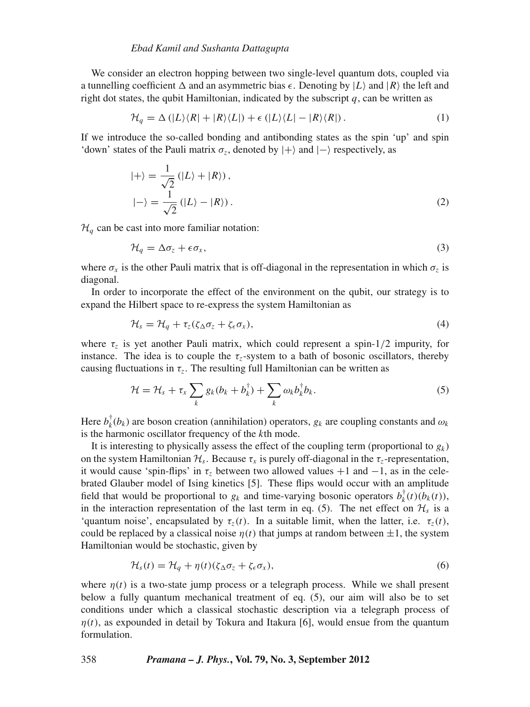### *Ebad Kamil and Sushanta Dattagupta*

We consider an electron hopping between two single-level quantum dots, coupled via a tunnelling coefficient  $\Delta$  and an asymmetric bias  $\epsilon$ . Denoting by  $|L\rangle$  and  $|R\rangle$  the left and right dot states, the qubit Hamiltonian, indicated by the subscript  $q$ , can be written as

$$
\mathcal{H}_q = \Delta (|L\rangle\langle R| + |R\rangle\langle L|) + \epsilon (|L\rangle\langle L| - |R\rangle\langle R|).
$$
\n(1)

If we introduce the so-called bonding and antibonding states as the spin 'up' and spin 'down' states of the Pauli matrix  $\sigma_z$ , denoted by  $|+\rangle$  and  $|-\rangle$  respectively, as

$$
|+\rangle = \frac{1}{\sqrt{2}} (|L\rangle + |R\rangle),
$$
  

$$
|-\rangle = \frac{1}{\sqrt{2}} (|L\rangle - |R\rangle).
$$
 (2)

 $\mathcal{H}_q$  can be cast into more familiar notation:

$$
\mathcal{H}_q = \Delta \sigma_z + \epsilon \sigma_x,\tag{3}
$$

where  $\sigma_x$  is the other Pauli matrix that is off-diagonal in the representation in which  $\sigma_z$  is diagonal.

In order to incorporate the effect of the environment on the qubit, our strategy is to expand the Hilbert space to re-express the system Hamiltonian as

$$
\mathcal{H}_s = \mathcal{H}_q + \tau_z(\zeta_\Delta \sigma_z + \zeta_\epsilon \sigma_x),\tag{4}
$$

where  $\tau_z$  is yet another Pauli matrix, which could represent a spin- $1/2$  impurity, for instance. The idea is to couple the  $\tau_z$ -system to a bath of bosonic oscillators, thereby causing fluctuations in  $\tau_z$ . The resulting full Hamiltonian can be written as

$$
\mathcal{H} = \mathcal{H}_s + \tau_x \sum_k g_k (b_k + b_k^{\dagger}) + \sum_k \omega_k b_k^{\dagger} b_k.
$$
 (5)

Here  $b_k^{\dagger}(b_k)$  are boson creation (annihilation) operators,  $g_k$  are coupling constants and  $\omega_k$ is the harmonic oscillator frequency of the *k*th mode.

It is interesting to physically assess the effect of the coupling term (proportional to  $g_k$ ) on the system Hamiltonian  $\mathcal{H}_s$ . Because  $\tau_x$  is purely off-diagonal in the  $\tau_z$ -representation, it would cause 'spin-flips' in  $\tau_z$  between two allowed values  $+1$  and  $-1$ , as in the celebrated Glauber model of Ising kinetics [5]. These flips would occur with an amplitude field that would be proportional to  $g_k$  and time-varying bosonic operators  $b_k^{\dagger}(t)(b_k(t))$ , in the interaction representation of the last term in eq. (5). The net effect on  $\mathcal{H}_s$  is a 'quantum noise', encapsulated by  $\tau_z(t)$ . In a suitable limit, when the latter, i.e.  $\tau_z(t)$ , could be replaced by a classical noise  $\eta(t)$  that jumps at random between  $\pm 1$ , the system Hamiltonian would be stochastic, given by

$$
\mathcal{H}_s(t) = \mathcal{H}_q + \eta(t)(\zeta_{\Delta}\sigma_z + \zeta_{\epsilon}\sigma_x),\tag{6}
$$

where  $\eta(t)$  is a two-state jump process or a telegraph process. While we shall present below a fully quantum mechanical treatment of eq. (5), our aim will also be to set conditions under which a classical stochastic description via a telegraph process of  $\eta(t)$ , as expounded in detail by Tokura and Itakura [6], would ensue from the quantum formulation.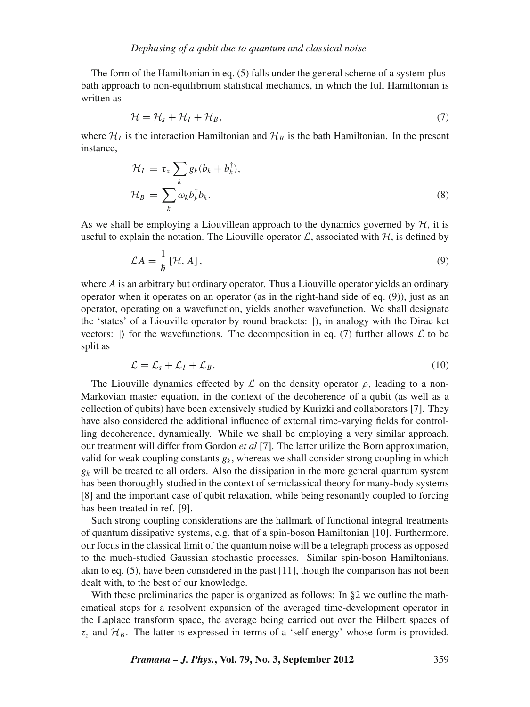The form of the Hamiltonian in eq. (5) falls under the general scheme of a system-plusbath approach to non-equilibrium statistical mechanics, in which the full Hamiltonian is written as

$$
\mathcal{H} = \mathcal{H}_s + \mathcal{H}_I + \mathcal{H}_B,\tag{7}
$$

where  $\mathcal{H}_I$  is the interaction Hamiltonian and  $\mathcal{H}_B$  is the bath Hamiltonian. In the present instance,

$$
\mathcal{H}_I = \tau_x \sum_k g_k (b_k + b_k^{\dagger}),
$$
  

$$
\mathcal{H}_B = \sum_k \omega_k b_k^{\dagger} b_k.
$$
 (8)

As we shall be employing a Liouvillean approach to the dynamics governed by  $H$ , it is useful to explain the notation. The Liouville operator  $\mathcal{L}$ , associated with  $\mathcal{H}$ , is defined by

$$
\mathcal{L}A = \frac{1}{\hbar} \left[ \mathcal{H}, A \right],\tag{9}
$$

where *A* is an arbitrary but ordinary operator. Thus a Liouville operator yields an ordinary operator when it operates on an operator (as in the right-hand side of eq. (9)), just as an operator, operating on a wavefunction, yields another wavefunction. We shall designate the 'states' of a Liouville operator by round brackets: |), in analogy with the Dirac ket vectors:  $\vert$  for the wavefunctions. The decomposition in eq. (7) further allows  $\mathcal L$  to be split as

$$
\mathcal{L} = \mathcal{L}_s + \mathcal{L}_I + \mathcal{L}_B. \tag{10}
$$

The Liouville dynamics effected by  $\mathcal L$  on the density operator  $\rho$ , leading to a non-Markovian master equation, in the context of the decoherence of a qubit (as well as a collection of qubits) have been extensively studied by Kurizki and collaborators [7]. They have also considered the additional influence of external time-varying fields for controlling decoherence, dynamically. While we shall be employing a very similar approach, our treatment will differ from Gordon *et al* [7]. The latter utilize the Born approximation, valid for weak coupling constants  $g_k$ , whereas we shall consider strong coupling in which  $g_k$  will be treated to all orders. Also the dissipation in the more general quantum system has been thoroughly studied in the context of semiclassical theory for many-body systems [8] and the important case of qubit relaxation, while being resonantly coupled to forcing has been treated in ref. [9].

Such strong coupling considerations are the hallmark of functional integral treatments of quantum dissipative systems, e.g. that of a spin-boson Hamiltonian [10]. Furthermore, our focus in the classical limit of the quantum noise will be a telegraph process as opposed to the much-studied Gaussian stochastic processes. Similar spin-boson Hamiltonians, akin to eq. (5), have been considered in the past [11], though the comparison has not been dealt with, to the best of our knowledge.

With these preliminaries the paper is organized as follows: In §2 we outline the mathematical steps for a resolvent expansion of the averaged time-development operator in the Laplace transform space, the average being carried out over the Hilbert spaces of  $\tau_z$  and  $\mathcal{H}_B$ . The latter is expressed in terms of a 'self-energy' whose form is provided.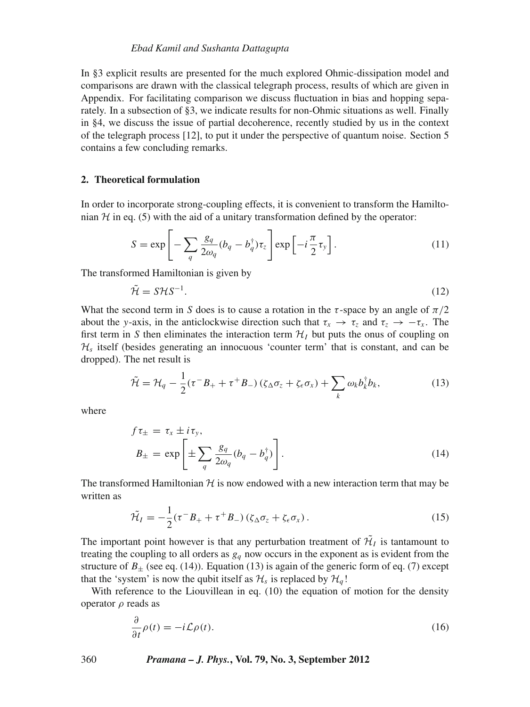In §3 explicit results are presented for the much explored Ohmic-dissipation model and comparisons are drawn with the classical telegraph process, results of which are given in Appendix. For facilitating comparison we discuss fluctuation in bias and hopping separately. In a subsection of §3, we indicate results for non-Ohmic situations as well. Finally in §4, we discuss the issue of partial decoherence, recently studied by us in the context of the telegraph process [12], to put it under the perspective of quantum noise. Section 5 contains a few concluding remarks.

# **2. Theoretical formulation**

In order to incorporate strong-coupling effects, it is convenient to transform the Hamiltonian  $H$  in eq. (5) with the aid of a unitary transformation defined by the operator:

$$
S = \exp\left[-\sum_{q} \frac{g_q}{2\omega_q} (b_q - b_q^{\dagger}) \tau_z\right] \exp\left[-i\frac{\pi}{2} \tau_y\right].
$$
 (11)

The transformed Hamiltonian is given by

$$
\tilde{\mathcal{H}} = S\mathcal{H}S^{-1}.\tag{12}
$$

What the second term in *S* does is to cause a rotation in the  $\tau$ -space by an angle of  $\pi/2$ about the *y*-axis, in the anticlockwise direction such that  $\tau_x \to \tau_z$  and  $\tau_z \to -\tau_x$ . The first term in *S* then eliminates the interaction term  $\mathcal{H}_I$  but puts the onus of coupling on  $\mathcal{H}_s$  itself (besides generating an innocuous 'counter term' that is constant, and can be dropped). The net result is

$$
\tilde{\mathcal{H}} = \mathcal{H}_q - \frac{1}{2} (\tau^- B_+ + \tau^+ B_-) \left( \zeta_\Delta \sigma_z + \zeta_\epsilon \sigma_x \right) + \sum_k \omega_k b_k^\dagger b_k, \tag{13}
$$

where

$$
f\tau_{\pm} = \tau_x \pm i\tau_y,
$$
  
\n
$$
B_{\pm} = \exp\left[\pm \sum_{q} \frac{g_q}{2\omega_q} (b_q - b_q^{\dagger})\right].
$$
\n(14)

The transformed Hamiltonian  $H$  is now endowed with a new interaction term that may be written as

$$
\tilde{\mathcal{H}}_I = -\frac{1}{2} (\tau^- B_+ + \tau^+ B_-) \left( \zeta_\Delta \sigma_z + \zeta_\epsilon \sigma_x \right). \tag{15}
$$

The important point however is that any perturbation treatment of  $\mathcal{H}_I$  is tantamount to treating the coupling to all orders as  $g_q$  now occurs in the exponent as is evident from the structure of  $B_{\pm}$  (see eq. (14)). Equation (13) is again of the generic form of eq. (7) except that the 'system' is now the qubit itself as  $\mathcal{H}_s$  is replaced by  $\mathcal{H}_q$ !

With reference to the Liouvillean in eq. (10) the equation of motion for the density operator  $ρ$  reads as

$$
\frac{\partial}{\partial t}\rho(t) = -i\mathcal{L}\rho(t). \tag{16}
$$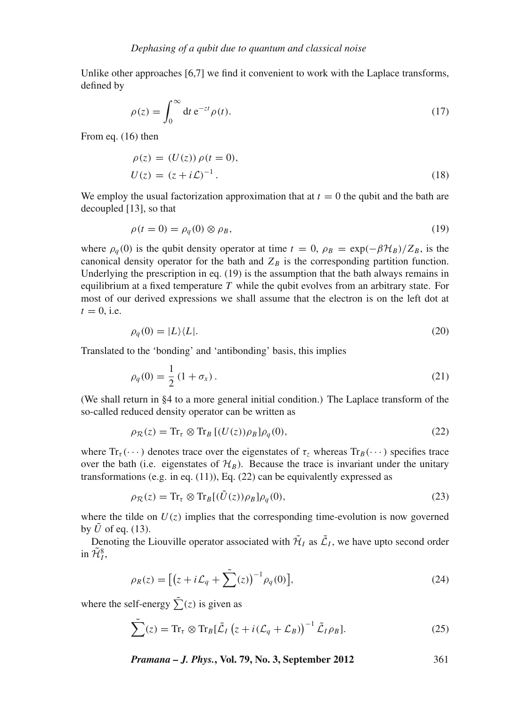Unlike other approaches [6,7] we find it convenient to work with the Laplace transforms, defined by

$$
\rho(z) = \int_0^\infty dt \, e^{-zt} \rho(t). \tag{17}
$$

From eq. (16) then

$$
\rho(z) = (U(z)) \rho(t = 0), U(z) = (z + i\mathcal{L})^{-1}.
$$
\n(18)

We employ the usual factorization approximation that at  $t = 0$  the qubit and the bath are decoupled [13], so that

$$
\rho(t=0) = \rho_q(0) \otimes \rho_B,\tag{19}
$$

where  $\rho_q(0)$  is the qubit density operator at time  $t = 0$ ,  $\rho_B = \exp(-\beta \mathcal{H}_B)/Z_B$ , is the canonical density operator for the bath and  $Z_B$  is the corresponding partition function. Underlying the prescription in eq. (19) is the assumption that the bath always remains in equilibrium at a fixed temperature *T* while the qubit evolves from an arbitrary state. For most of our derived expressions we shall assume that the electron is on the left dot at  $t = 0$ , i.e.

$$
\rho_q(0) = |L\rangle\langle L|.\tag{20}
$$

Translated to the 'bonding' and 'antibonding' basis, this implies

$$
\rho_q(0) = \frac{1}{2} (1 + \sigma_x). \tag{21}
$$

(We shall return in §4 to a more general initial condition.) The Laplace transform of the so-called reduced density operator can be written as

$$
\rho_{\mathcal{R}}(z) = \text{Tr}_{\tau} \otimes \text{Tr}_{B} \left[ (U(z)) \rho_{B} \right] \rho_{q}(0), \tag{22}
$$

where  $Tr_{\tau}(\cdots)$  denotes trace over the eigenstates of  $\tau_{z}$  whereas  $Tr_{B}(\cdots)$  specifies trace over the bath (i.e. eigenstates of  $\mathcal{H}_B$ ). Because the trace is invariant under the unitary transformations (e.g. in eq. (11)), Eq. (22) can be equivalently expressed as

$$
\rho_{\mathcal{R}}(z) = \text{Tr}_{\tau} \otimes \text{Tr}_{B}[(\tilde{U}(z))\rho_{B}]\rho_{q}(0), \qquad (23)
$$

where the tilde on  $U(z)$  implies that the corresponding time-evolution is now governed by  $\hat{U}$  of eq. (13).

Denoting the Liouville operator associated with  $\tilde{\mathcal{H}}_I$  as  $\tilde{\mathcal{L}}_I$ , we have upto second order in  $\tilde{\mathcal{H}}_I^8$ ,

$$
\rho_R(z) = \left[ \left( z + i \mathcal{L}_q + \tilde{\sum}(z) \right)^{-1} \rho_q(0) \right],\tag{24}
$$

where the self-energy  $\sum_{i=1}^{\infty} (z_i)$  is given as

$$
\sum_{i=1}^{N} (z) = \text{Tr}_{\tau} \otimes \text{Tr}_{B} [\tilde{\mathcal{L}}_{I} (z + i(\mathcal{L}_{q} + \mathcal{L}_{B}))^{-1} \tilde{\mathcal{L}}_{I} \rho_{B}]. \tag{25}
$$

*Pramana – J. Phys.***, Vol. 79, No. 3, September 2012** 361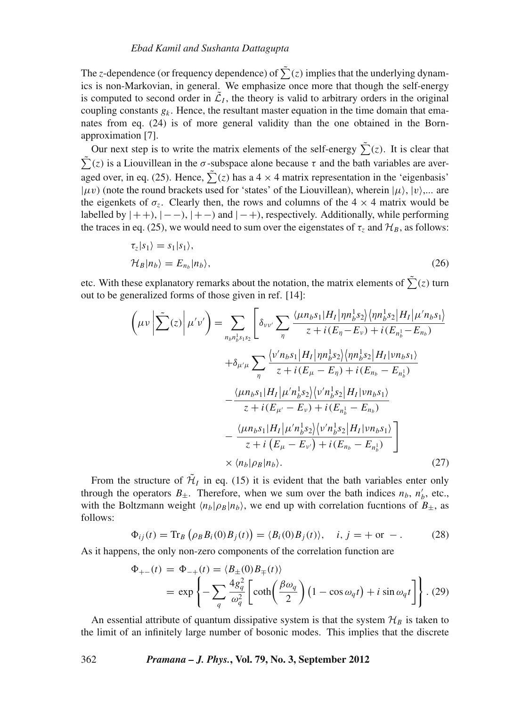The *z*-dependence (or frequency dependence) of  $\sum(z)$  implies that the underlying dynamics is non-Markovian, in general. We emphasize once more that though the self-energy is computed to second order in  $\tilde{\mathcal{L}}_I$ , the theory is valid to arbitrary orders in the original coupling constants  $g_k$ . Hence, the resultant master equation in the time domain that emanates from eq. (24) is of more general validity than the one obtained in the Bornapproximation [7].

Our next step is to write the matrix elements of the self-energy  $\sum_{i=1}^{n} (z_i)$ . It is clear that  $\sum_{r=0}^{\infty}$  (*z*) is a Liouvillean in the  $\sigma$ -subspace alone because  $\tau$  and the bath variables are averaged over, in eq. (25). Hence,  $\sum_{i=1}^{n} (z)$  has a 4  $\times$  4 matrix representation in the 'eigenbasis'  $|\mu\nu\rangle$  (note the round brackets used for 'states' of the Liouvillean), wherein  $|\mu\rangle$ ,  $|\nu\rangle$ .... are the eigenkets of  $\sigma_z$ . Clearly then, the rows and columns of the 4  $\times$  4 matrix would be labelled by  $|++\rangle$ ,  $|--\rangle$ ,  $|+-\rangle$  and  $|-+\rangle$ , respectively. Additionally, while performing the traces in eq. (25), we would need to sum over the eigenstates of  $\tau$ <sub>z</sub> and  $\mathcal{H}_B$ , as follows:

$$
\tau_z|s_1\rangle = s_1|s_1\rangle,
$$
  
\n
$$
\mathcal{H}_B|n_b\rangle = E_{n_b}|n_b\rangle,
$$
\n(26)

etc. With these explanatory remarks about the notation, the matrix elements of  $\sum(z)$  turn out to be generalized forms of those given in ref. [14]:

$$
\left(\mu\nu\left|\sum_{i=1}^{N}z_{i}\right|\mu' \nu'\right) = \sum_{n_{b}n_{b}^{1} s_{1} s_{2}} \left[\delta_{\nu\nu'}\sum_{\eta} \frac{\langle\mu n_{b} s_{1}|H_{I}| \eta n_{b}^{1} s_{2}\rangle \langle\eta n_{b}^{1} s_{2}|H_{I}| \mu' n_{b} s_{1}\rangle}{z + i(E_{\eta} - E_{\nu}) + i(E_{n_{b}^{1}} - E_{n_{b}})}\right] + \delta_{\mu'\mu} \sum_{\eta} \frac{\langle\nu' n_{b} s_{1}|H_{I}| \eta n_{b}^{1} s_{2}\rangle \langle\eta n_{b}^{1} s_{2}|H_{I}| \nu n_{b} s_{1}\rangle}{z + i(E_{\mu} - E_{\eta}) + i(E_{n_{b}} - E_{n_{b}^{1}})} - \frac{\langle\mu n_{b} s_{1}|H_{I}| \mu' n_{b}^{1} s_{2}\rangle \langle\nu' n_{b}^{1} s_{2}|H_{I}| \nu n_{b} s_{1}\rangle}{z + i(E_{\mu'} - E_{\nu}) + i(E_{n_{b}^{1}} - E_{n_{b}})} - \frac{\langle\mu n_{b} s_{1}|H_{I}| \mu' n_{b}^{1} s_{2}\rangle \langle\nu' n_{b}^{1} s_{2}|H_{I}| \nu n_{b} s_{1}\rangle}{z + i(E_{\mu} - E_{\nu'}) + i(E_{n_{b}} - E_{n_{b}^{1}})} \times \langle n_{b}| \rho_{B}|n_{b}\rangle.
$$
\n(27)

From the structure of  $\tilde{\mathcal{H}}_I$  in eq. (15) it is evident that the bath variables enter only through the operators  $B_{\pm}$ . Therefore, when we sum over the bath indices  $n_b$ ,  $n'_b$ , etc., with the Boltzmann weight  $\langle n_b|\rho_B|n_b\rangle$ , we end up with correlation fucntions of  $B_{\pm}$ , as follows:

$$
\Phi_{ij}(t) = \text{Tr}_B\left(\rho_B B_i(0)B_j(t)\right) = \langle B_i(0)B_j(t)\rangle, \quad i, j = + \text{ or } -.
$$
 (28)

As it happens, the only non-zero components of the correlation function are

$$
\Phi_{+-}(t) = \Phi_{-+}(t) = \langle B_{\pm}(0)B_{\mp}(t) \rangle
$$
  
=  $\exp \left\{-\sum_{q} \frac{4g_q^2}{\omega_q^2} \left[ \coth \left( \frac{\beta \omega_q}{2} \right) \left( 1 - \cos \omega_q t \right) + i \sin \omega_q t \right] \right\}$ . (29)

An essential attribute of quantum dissipative system is that the system  $\mathcal{H}_B$  is taken to the limit of an infinitely large number of bosonic modes. This implies that the discrete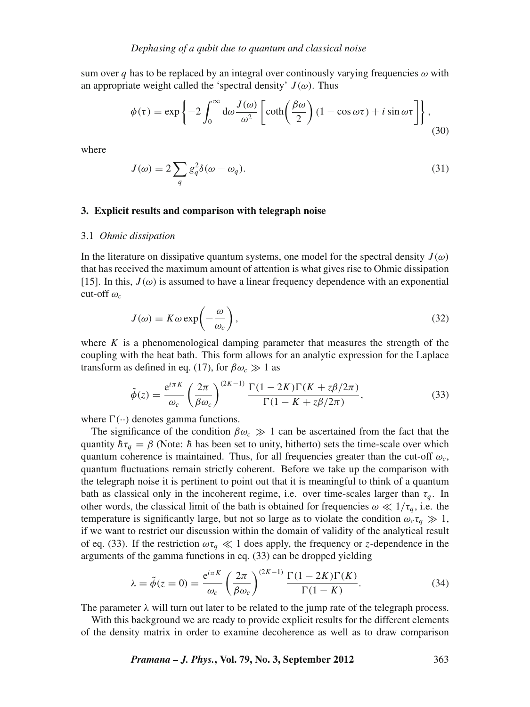sum over *q* has to be replaced by an integral over continously varying frequencies  $\omega$  with an appropriate weight called the 'spectral density'  $J(\omega)$ . Thus

$$
\phi(\tau) = \exp\left\{-2\int_0^\infty d\omega \frac{J(\omega)}{\omega^2} \left[\coth\left(\frac{\beta\omega}{2}\right)(1-\cos\omega\tau) + i\sin\omega\tau\right]\right\},\tag{30}
$$

where

$$
J(\omega) = 2 \sum_{q} g_q^2 \delta(\omega - \omega_q). \tag{31}
$$

### **3. Explicit results and comparison with telegraph noise**

#### 3.1 *Ohmic dissipation*

In the literature on dissipative quantum systems, one model for the spectral density  $J(\omega)$ that has received the maximum amount of attention is what gives rise to Ohmic dissipation [15]. In this,  $J(\omega)$  is assumed to have a linear frequency dependence with an exponential cut-off  $\omega_c$ 

$$
J(\omega) = K\omega \exp\left(-\frac{\omega}{\omega_c}\right),\tag{32}
$$

where  $K$  is a phenomenological damping parameter that measures the strength of the coupling with the heat bath. This form allows for an analytic expression for the Laplace transform as defined in eq. (17), for  $\beta \omega_c \gg 1$  as

$$
\tilde{\phi}(z) = \frac{e^{i\pi K}}{\omega_c} \left(\frac{2\pi}{\beta \omega_c}\right)^{(2K-1)} \frac{\Gamma(1 - 2K)\Gamma(K + z\beta/2\pi)}{\Gamma(1 - K + z\beta/2\pi)},\tag{33}
$$

where  $\Gamma(\cdot)$  denotes gamma functions.

The significance of the condition  $\beta \omega_c \gg 1$  can be ascertained from the fact that the quantity  $h\tau_q = \beta$  (Note: *h* has been set to unity, hitherto) sets the time-scale over which quantum coherence is maintained. Thus, for all frequencies greater than the cut-off  $\omega_c$ , quantum fluctuations remain strictly coherent. Before we take up the comparison with the telegraph noise it is pertinent to point out that it is meaningful to think of a quantum bath as classical only in the incoherent regime, i.e. over time-scales larger than  $\tau_q$ . In other words, the classical limit of the bath is obtained for frequencies  $\omega \ll 1/\tau_q$ , i.e. the temperature is significantly large, but not so large as to violate the condition  $\omega_c \tau_a \gg 1$ , if we want to restrict our discussion within the domain of validity of the analytical result of eq. (33). If the restriction  $\omega \tau_q \ll 1$  does apply, the frequency or *z*-dependence in the arguments of the gamma functions in eq. (33) can be dropped yielding

$$
\lambda = \tilde{\phi}(z=0) = \frac{e^{i\pi K}}{\omega_c} \left(\frac{2\pi}{\beta \omega_c}\right)^{(2K-1)} \frac{\Gamma(1-2K)\Gamma(K)}{\Gamma(1-K)}.
$$
\n(34)

The parameter  $\lambda$  will turn out later to be related to the jump rate of the telegraph process.

With this background we are ready to provide explicit results for the different elements of the density matrix in order to examine decoherence as well as to draw comparison

*Pramana – J. Phys.***, Vol. 79, No. 3, September 2012** 363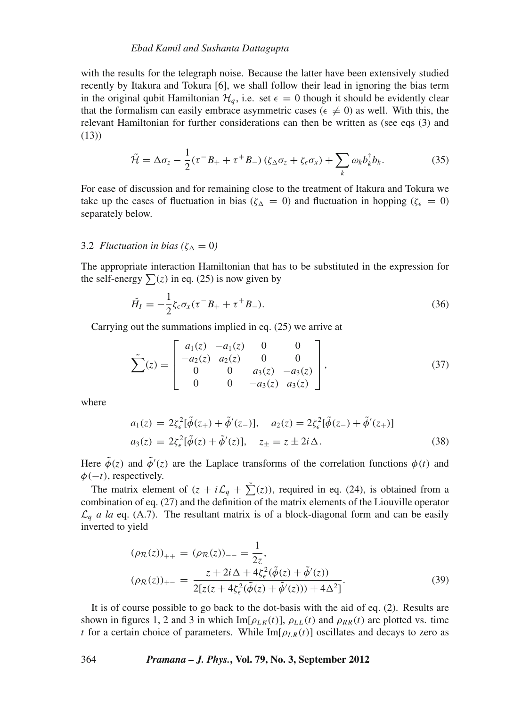#### *Ebad Kamil and Sushanta Dattagupta*

with the results for the telegraph noise. Because the latter have been extensively studied recently by Itakura and Tokura [6], we shall follow their lead in ignoring the bias term in the original qubit Hamiltonian  $\mathcal{H}_q$ , i.e. set  $\epsilon = 0$  though it should be evidently clear that the formalism can easily embrace asymmetric cases ( $\epsilon \neq 0$ ) as well. With this, the relevant Hamiltonian for further considerations can then be written as (see eqs (3) and (13))

$$
\tilde{\mathcal{H}} = \Delta \sigma_z - \frac{1}{2} (\tau^- B_+ + \tau^+ B_-) \left( \zeta_\Delta \sigma_z + \zeta_\epsilon \sigma_x \right) + \sum_k \omega_k b_k^\dagger b_k. \tag{35}
$$

For ease of discussion and for remaining close to the treatment of Itakura and Tokura we take up the cases of fluctuation in bias ( $\zeta_{\Delta} = 0$ ) and fluctuation in hopping ( $\zeta_{\epsilon} = 0$ ) separately below.

# 3.2 *Fluctuation in bias* ( $\zeta_{\Delta} = 0$ )

The appropriate interaction Hamiltonian that has to be substituted in the expression for the self-energy  $\sum(z)$  in eq. (25) is now given by

$$
\tilde{H}_I = -\frac{1}{2}\zeta_{\epsilon}\sigma_x(\tau^-B_+ + \tau^+B_-). \tag{36}
$$

Carrying out the summations implied in eq. (25) we arrive at

$$
\tilde{\sum}(z) = \begin{bmatrix} a_1(z) & -a_1(z) & 0 & 0 \\ -a_2(z) & a_2(z) & 0 & 0 \\ 0 & 0 & a_3(z) & -a_3(z) \\ 0 & 0 & -a_3(z) & a_3(z) \end{bmatrix},
$$
(37)

where

$$
a_1(z) = 2\xi_{\epsilon}^2[\tilde{\phi}(z_+) + \tilde{\phi}'(z_-)], \quad a_2(z) = 2\xi_{\epsilon}^2[\tilde{\phi}(z_-) + \tilde{\phi}'(z_+)]
$$
  

$$
a_3(z) = 2\xi_{\epsilon}^2[\tilde{\phi}(z) + \tilde{\phi}'(z)], \quad z_{\pm} = z \pm 2i\Delta.
$$
 (38)

Here  $\tilde{\phi}(z)$  and  $\tilde{\phi}'(z)$  are the Laplace transforms of the correlation functions  $\phi(t)$  and φ(−*t*), respectively.

The matrix element of  $(z + i\mathcal{L}_q + \tilde{\sum}(z))$ , required in eq. (24), is obtained from a combination of eq. (27) and the definition of the matrix elements of the Liouville operator  $\mathcal{L}_q$  *a la* eq. (A.7). The resultant matrix is of a block-diagonal form and can be easily inverted to yield

$$
(\rho_{\mathcal{R}}(z))_{++} = (\rho_{\mathcal{R}}(z))_{--} = \frac{1}{2z},
$$
  
\n
$$
(\rho_{\mathcal{R}}(z))_{+-} = \frac{z + 2i\,\Delta + 4\zeta_{\epsilon}^{2}(\tilde{\phi}(z) + \tilde{\phi}'(z))}{2[z(z + 4\zeta_{\epsilon}^{2}(\tilde{\phi}(z) + \tilde{\phi}'(z))) + 4\Delta^{2}]}.
$$
\n(39)

It is of course possible to go back to the dot-basis with the aid of eq. (2). Results are shown in figures 1, 2 and 3 in which  $\text{Im}[\rho_{LR}(t)]$ ,  $\rho_{LL}(t)$  and  $\rho_{RR}(t)$  are plotted vs. time *t* for a certain choice of parameters. While  $\text{Im}[\rho_{LR}(t)]$  oscillates and decays to zero as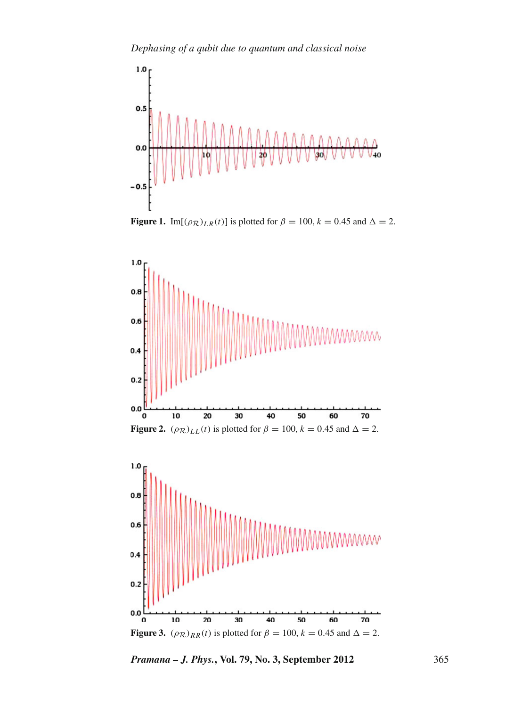

**Figure 1.** Im[ $(\rho_{\mathcal{R}})_{LR}(t)$ ] is plotted for  $\beta = 100$ ,  $k = 0.45$  and  $\Delta = 2$ .





*Pramana – J. Phys.***, Vol. 79, No. 3, September 2012** 365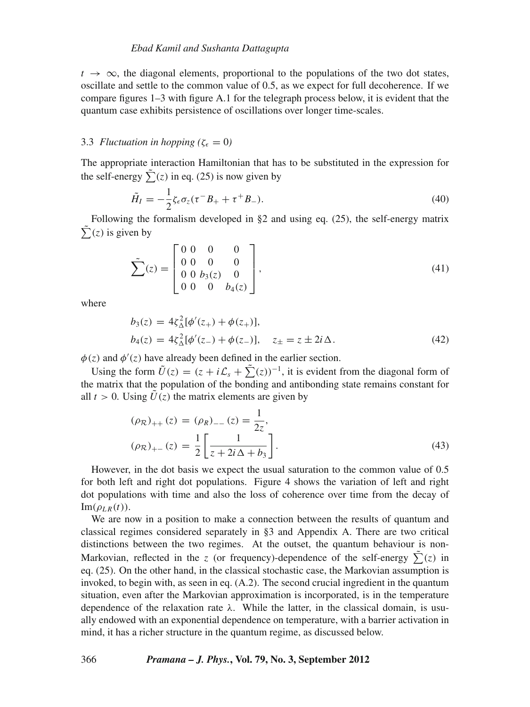$t \rightarrow \infty$ , the diagonal elements, proportional to the populations of the two dot states, oscillate and settle to the common value of 0.5, as we expect for full decoherence. If we compare figures 1–3 with figure A.1 for the telegraph process below, it is evident that the quantum case exhibits persistence of oscillations over longer time-scales.

# 3.3 *Fluctuation in hopping* ( $\zeta_{\epsilon} = 0$ )

The appropriate interaction Hamiltonian that has to be substituted in the expression for the self-energy  $\tilde{\Sigma}(z)$  in eq. (25) is now given by

$$
\tilde{H}_I = -\frac{1}{2}\zeta_{\epsilon}\sigma_z(\tau^-B_+ + \tau^+B_-). \tag{40}
$$

Following the formalism developed in §2 and using eq. (25), the self-energy matrix  $\sum_{i=1}^{\infty}$  (*z*) is given by

$$
\tilde{\sum}(z) = \begin{bmatrix} 0 & 0 & 0 & 0 \\ 0 & 0 & 0 & 0 \\ 0 & 0 & b_3(z) & 0 \\ 0 & 0 & 0 & b_4(z) \end{bmatrix},
$$
\n(41)

where

$$
b_3(z) = 4\zeta_{\Delta}^2[\phi'(z_+) + \phi(z_+)],
$$
  
\n
$$
b_4(z) = 4\zeta_{\Delta}^2[\phi'(z_-) + \phi(z_-)], \quad z_{\pm} = z \pm 2i\Delta.
$$
 (42)

 $\phi(z)$  and  $\phi'(z)$  have already been defined in the earlier section.

Using the form  $\tilde{U}(z) = (z + i\mathcal{L}_s + \tilde{\sum}(z))^{-1}$ , it is evident from the diagonal form of the matrix that the population of the bonding and antibonding state remains constant for all  $t > 0$ . Using  $\tilde{U}(z)$  the matrix elements are given by

$$
(\rho_{\mathcal{R}})_{++}(z) = (\rho_R)_{--}(z) = \frac{1}{2z},
$$
  
\n
$$
(\rho_{\mathcal{R}})_{+-}(z) = \frac{1}{2} \left[ \frac{1}{z + 2i\Delta + b_3} \right].
$$
\n(43)

However, in the dot basis we expect the usual saturation to the common value of 0.5 for both left and right dot populations. Figure 4 shows the variation of left and right dot populations with time and also the loss of coherence over time from the decay of  $\text{Im}(\rho_{LR}(t)).$ 

We are now in a position to make a connection between the results of quantum and classical regimes considered separately in §3 and Appendix A. There are two critical distinctions between the two regimes. At the outset, the quantum behaviour is non-Markovian, reflected in the *z* (or frequency)-dependence of the self-energy  $\sum_{i=1}^{n} (z_i - z_i)$  in eq. (25). On the other hand, in the classical stochastic case, the Markovian assumption is invoked, to begin with, as seen in eq. (A.2). The second crucial ingredient in the quantum situation, even after the Markovian approximation is incorporated, is in the temperature dependence of the relaxation rate  $\lambda$ . While the latter, in the classical domain, is usually endowed with an exponential dependence on temperature, with a barrier activation in mind, it has a richer structure in the quantum regime, as discussed below.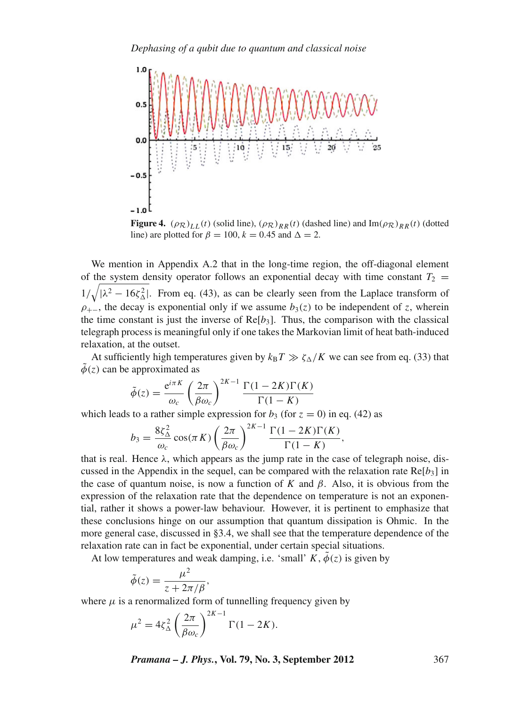*Dephasing of a qubit due to quantum and classical noise*



**Figure 4.**  $(\rho_R)_{LL}(t)$  (solid line),  $(\rho_R)_{RR}(t)$  (dashed line) and Im $(\rho_R)_{RR}(t)$  (dotted line) are plotted for  $\beta = 100$ ,  $k = 0.45$  and  $\Delta = 2$ .

We mention in Appendix A.2 that in the long-time region, the off-diagonal element of the system density operator follows an exponential decay with time constant  $T_2$  =  $1/\sqrt{|\lambda^2 - 16\zeta_\Delta^2|}$ . From eq. (43), as can be clearly seen from the Laplace transform of  $\rho_{+-}$ , the decay is exponential only if we assume  $b_3(z)$  to be independent of *z*, wherein the time constant is just the inverse of  $Re[b_3]$ . Thus, the comparison with the classical telegraph process is meaningful only if one takes the Markovian limit of heat bath-induced relaxation, at the outset.

At sufficiently high temperatures given by  $k_B T \gg \zeta_{\Delta}/K$  we can see from eq. (33) that  $\phi(z)$  can be approximated as

$$
\tilde{\phi}(z) = \frac{e^{i\pi K}}{\omega_c} \left(\frac{2\pi}{\beta \omega_c}\right)^{2K-1} \frac{\Gamma(1 - 2K)\Gamma(K)}{\Gamma(1 - K)}
$$

which leads to a rather simple expression for  $b_3$  (for  $z = 0$ ) in eq. (42) as

$$
b_3 = \frac{8\zeta_{\Delta}^2}{\omega_c} \cos(\pi K) \left(\frac{2\pi}{\beta \omega_c}\right)^{2K-1} \frac{\Gamma(1-2K)\Gamma(K)}{\Gamma(1-K)},
$$

that is real. Hence  $\lambda$ , which appears as the jump rate in the case of telegraph noise, discussed in the Appendix in the sequel, can be compared with the relaxation rate  $Re[b_3]$  in the case of quantum noise, is now a function of  $K$  and  $\beta$ . Also, it is obvious from the expression of the relaxation rate that the dependence on temperature is not an exponential, rather it shows a power-law behaviour. However, it is pertinent to emphasize that these conclusions hinge on our assumption that quantum dissipation is Ohmic. In the more general case, discussed in §3.4, we shall see that the temperature dependence of the relaxation rate can in fact be exponential, under certain special situations.

At low temperatures and weak damping, i.e. 'small'  $K$ ,  $\phi(z)$  is given by

$$
\tilde{\phi}(z) = \frac{\mu^2}{z + 2\pi/\beta},
$$

where  $\mu$  is a renormalized form of tunnelling frequency given by

$$
\mu^2 = 4\zeta_\Delta^2 \left(\frac{2\pi}{\beta \omega_c}\right)^{2K-1} \Gamma(1 - 2K).
$$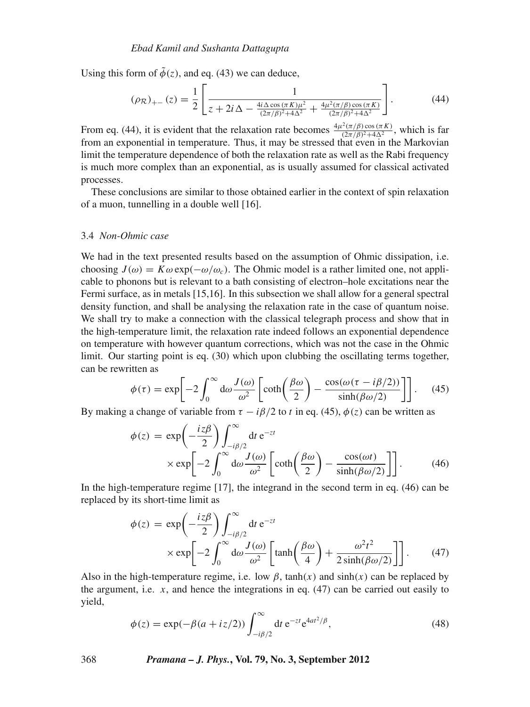Using this form of  $\tilde{\phi}(z)$ , and eq. (43) we can deduce,

$$
(\rho_{\mathcal{R}})_{+-}(z) = \frac{1}{2} \left[ \frac{1}{z + 2i\,\Delta - \frac{4i\,\Delta\cos\left(\pi\,K\right)\mu^2}{(2\pi/\beta)^2 + 4\Delta^2} + \frac{4\mu^2\left(\pi/\beta\right)\cos\left(\pi\,K\right)}{(2\pi/\beta)^2 + 4\Delta^2}} \right].\tag{44}
$$

From eq. (44), it is evident that the relaxation rate becomes  $\frac{4\mu^2(\pi/\beta)\cos(\pi K)}{(2\pi/\beta)^2+4\Delta^2}$ , which is far from an exponential in temperature. Thus, it may be stressed that even in the Markovian limit the temperature dependence of both the relaxation rate as well as the Rabi frequency is much more complex than an exponential, as is usually assumed for classical activated processes.

These conclusions are similar to those obtained earlier in the context of spin relaxation of a muon, tunnelling in a double well [16].

### 3.4 *Non-Ohmic case*

We had in the text presented results based on the assumption of Ohmic dissipation, i.e. choosing  $J(\omega) = K \omega \exp(-\omega/\omega_c)$ . The Ohmic model is a rather limited one, not applicable to phonons but is relevant to a bath consisting of electron–hole excitations near the Fermi surface, as in metals [15,16]. In this subsection we shall allow for a general spectral density function, and shall be analysing the relaxation rate in the case of quantum noise. We shall try to make a connection with the classical telegraph process and show that in the high-temperature limit, the relaxation rate indeed follows an exponential dependence on temperature with however quantum corrections, which was not the case in the Ohmic limit. Our starting point is eq. (30) which upon clubbing the oscillating terms together, can be rewritten as

$$
\phi(\tau) = \exp\left[-2\int_0^\infty d\omega \frac{J(\omega)}{\omega^2} \left[\coth\left(\frac{\beta\omega}{2}\right) - \frac{\cos(\omega(\tau - i\beta/2))}{\sinh(\beta\omega/2)}\right]\right].\tag{45}
$$

By making a change of variable from  $\tau - i\beta/2$  to *t* in eq. (45),  $\phi(z)$  can be written as

$$
\phi(z) = \exp\left(-\frac{iz\beta}{2}\right) \int_{-i\beta/2}^{\infty} dt e^{-zt} \times \exp\left[-2\int_{0}^{\infty} d\omega \frac{J(\omega)}{\omega^2} \left[\coth\left(\frac{\beta\omega}{2}\right) - \frac{\cos(\omega t)}{\sinh(\beta\omega/2)}\right]\right].
$$
 (46)

In the high-temperature regime [17], the integrand in the second term in eq. (46) can be replaced by its short-time limit as

$$
\phi(z) = \exp\left(-\frac{iz\beta}{2}\right) \int_{-i\beta/2}^{\infty} dt e^{-zt} \times \exp\left[-2\int_{0}^{\infty} d\omega \frac{J(\omega)}{\omega^2} \left[\tanh\left(\frac{\beta\omega}{4}\right) + \frac{\omega^2 t^2}{2\sinh(\beta\omega/2)}\right]\right].
$$
 (47)

Also in the high-temperature regime, i.e. low  $\beta$ , tanh(x) and sinh(x) can be replaced by the argument, i.e.  $x$ , and hence the integrations in eq.  $(47)$  can be carried out easily to yield,

$$
\phi(z) = \exp(-\beta(a + iz/2)) \int_{-i\beta/2}^{\infty} dt \, e^{-zt} e^{4at^2/\beta},\tag{48}
$$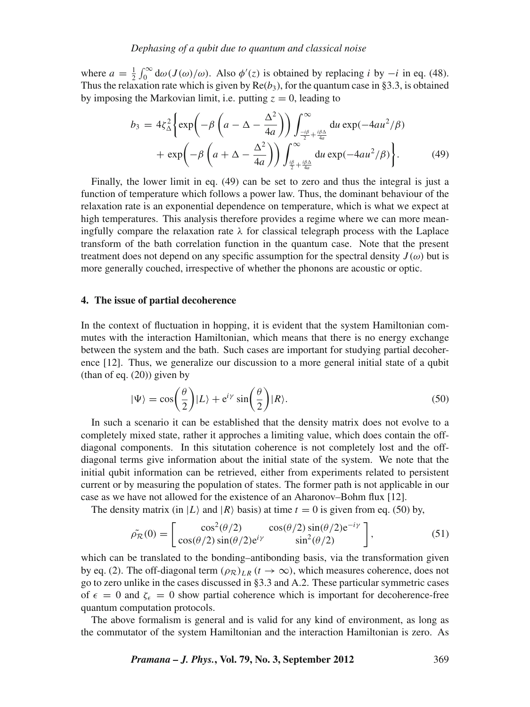where  $a = \frac{1}{2} \int_0^\infty d\omega (J(\omega)/\omega)$ . Also  $\phi'(z)$  is obtained by replacing *i* by  $-i$  in eq. (48). Thus the relaxation rate which is given by  $\text{Re}(b_3)$ , for the quantum case in §3.3, is obtained by imposing the Markovian limit, i.e. putting  $z = 0$ , leading to

$$
b_3 = 4\zeta_{\Delta}^2 \left\{ \exp\left(-\beta \left(a - \Delta - \frac{\Delta^2}{4a}\right)\right) \int_{\frac{-i\beta}{2} + \frac{i\beta \Delta}{4a}}^{\infty} du \exp(-4au^2/\beta) + \exp\left(-\beta \left(a + \Delta - \frac{\Delta^2}{4a}\right)\right) \int_{\frac{i\beta}{2} + \frac{i\beta \Delta}{4a}}^{\infty} du \exp(-4au^2/\beta) \right\}.
$$
 (49)

Finally, the lower limit in eq. (49) can be set to zero and thus the integral is just a function of temperature which follows a power law. Thus, the dominant behaviour of the relaxation rate is an exponential dependence on temperature, which is what we expect at high temperatures. This analysis therefore provides a regime where we can more meaningfully compare the relaxation rate  $\lambda$  for classical telegraph process with the Laplace transform of the bath correlation function in the quantum case. Note that the present treatment does not depend on any specific assumption for the spectral density  $J(\omega)$  but is more generally couched, irrespective of whether the phonons are acoustic or optic.

# **4. The issue of partial decoherence**

In the context of fluctuation in hopping, it is evident that the system Hamiltonian commutes with the interaction Hamiltonian, which means that there is no energy exchange between the system and the bath. Such cases are important for studying partial decoherence [12]. Thus, we generalize our discussion to a more general initial state of a qubit (than of eq.  $(20)$ ) given by

$$
|\Psi\rangle = \cos\left(\frac{\theta}{2}\right)|L\rangle + e^{i\gamma}\sin\left(\frac{\theta}{2}\right)|R\rangle. \tag{50}
$$

In such a scenario it can be established that the density matrix does not evolve to a completely mixed state, rather it approches a limiting value, which does contain the offdiagonal components. In this situtation coherence is not completely lost and the offdiagonal terms give information about the initial state of the system. We note that the initial qubit information can be retrieved, either from experiments related to persistent current or by measuring the population of states. The former path is not applicable in our case as we have not allowed for the existence of an Aharonov–Bohm flux [12].

The density matrix (in  $|L\rangle$  and  $|R\rangle$  basis) at time  $t = 0$  is given from eq. (50) by,

$$
\tilde{\rho_R}(0) = \begin{bmatrix} \cos^2(\theta/2) & \cos(\theta/2)\sin(\theta/2)e^{-i\gamma} \\ \cos(\theta/2)\sin(\theta/2)e^{i\gamma} & \sin^2(\theta/2) \end{bmatrix},
$$
(51)

which can be translated to the bonding–antibonding basis, via the transformation given by eq. (2). The off-diagonal term  $(\rho_{\mathcal{R}})_{LR}$  ( $t \to \infty$ ), which measures coherence, does not go to zero unlike in the cases discussed in §3.3 and A.2. These particular symmetric cases of  $\epsilon = 0$  and  $\zeta_{\epsilon} = 0$  show partial coherence which is important for decoherence-free quantum computation protocols.

The above formalism is general and is valid for any kind of environment, as long as the commutator of the system Hamiltonian and the interaction Hamiltonian is zero. As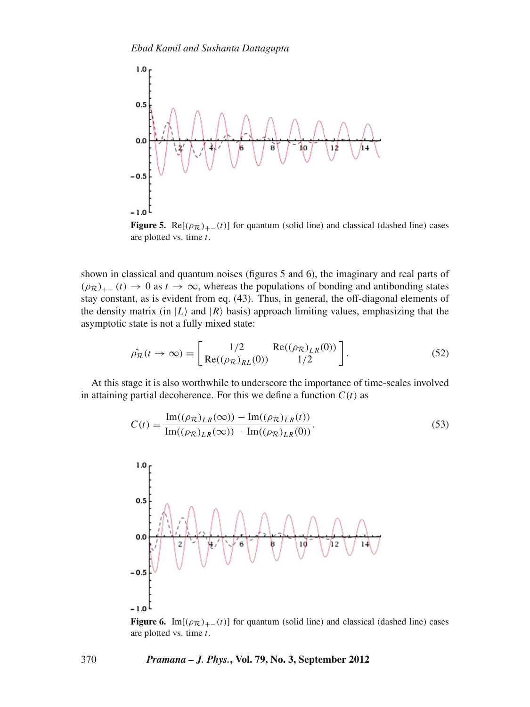

**Figure 5.** Re $[(\rho_R)_+(t)]$  for quantum (solid line) and classical (dashed line) cases are plotted vs. time *t*.

shown in classical and quantum noises (figures 5 and 6), the imaginary and real parts of  $(\rho_R)_{+-}$  (*t*)  $\rightarrow$  0 as *t*  $\rightarrow \infty$ , whereas the populations of bonding and antibonding states stay constant, as is evident from eq. (43). Thus, in general, the off-diagonal elements of the density matrix (in  $|L\rangle$  and  $|R\rangle$  basis) approach limiting values, emphasizing that the asymptotic state is not a fully mixed state:

$$
\hat{\rho_R}(t \to \infty) = \begin{bmatrix} 1/2 & \text{Re}((\rho_R)_{LR}(0)) \\ \text{Re}((\rho_R)_{RL}(0)) & 1/2 \end{bmatrix}.
$$
\n(52)

At this stage it is also worthwhile to underscore the importance of time-scales involved in attaining partial decoherence. For this we define a function  $C(t)$  as

$$
C(t) = \frac{\text{Im}((\rho_{\mathcal{R}})_{LR}(\infty)) - \text{Im}((\rho_{\mathcal{R}})_{LR}(t))}{\text{Im}((\rho_{\mathcal{R}})_{LR}(\infty)) - \text{Im}((\rho_{\mathcal{R}})_{LR}(0))}.
$$
 (53)



**Figure 6.** Im[ $(\rho_{\mathcal{R}})_{+-}(t)$ ] for quantum (solid line) and classical (dashed line) cases are plotted vs. time *t*.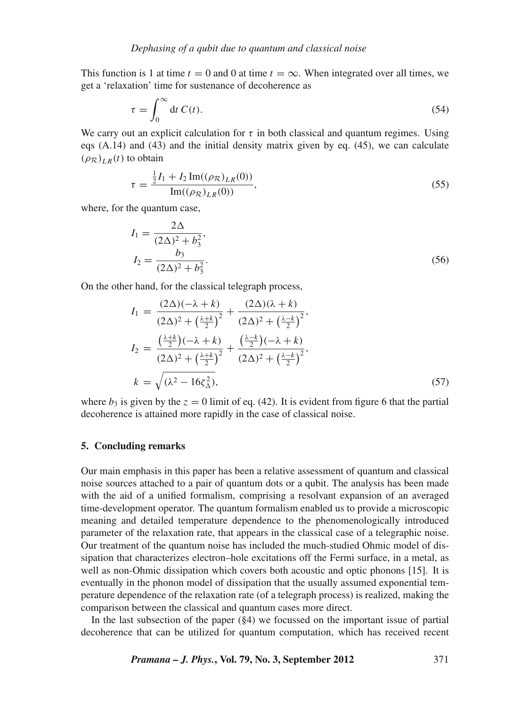This function is 1 at time  $t = 0$  and 0 at time  $t = \infty$ . When integrated over all times, we get a 'relaxation' time for sustenance of decoherence as

$$
\tau = \int_0^\infty dt \ C(t). \tag{54}
$$

We carry out an explicit calculation for  $\tau$  in both classical and quantum regimes. Using eqs (A.14) and (43) and the initial density matrix given by eq. (45), we can calculate  $(\rho_{\mathcal{R}})_{LR}(t)$  to obtain

$$
\tau = \frac{\frac{1}{2}I_1 + I_2 \operatorname{Im}((\rho_{\mathcal{R}})_{LR}(0))}{\operatorname{Im}((\rho_{\mathcal{R}})_{LR}(0))},
$$
\n(55)

where, for the quantum case,

$$
I_1 = \frac{2\Delta}{(2\Delta)^2 + b_3^2},
$$
  
\n
$$
I_2 = \frac{b_3}{(2\Delta)^2 + b_3^2}.
$$
\n(56)

On the other hand, for the classical telegraph process,

$$
I_1 = \frac{(2\Delta)(-\lambda + k)}{(2\Delta)^2 + (\frac{\lambda + k}{2})^2} + \frac{(2\Delta)(\lambda + k)}{(2\Delta)^2 + (\frac{\lambda - k}{2})^2},
$$
  
\n
$$
I_2 = \frac{(\frac{\lambda + k}{2})(-\lambda + k)}{(2\Delta)^2 + (\frac{\lambda + k}{2})^2} + \frac{(\frac{\lambda - k}{2})(-\lambda + k)}{(2\Delta)^2 + (\frac{\lambda - k}{2})^2},
$$
  
\n
$$
k = \sqrt{(\lambda^2 - 16\zeta_\Delta^2)},
$$
\n(57)

where  $b_3$  is given by the  $z = 0$  limit of eq. (42). It is evident from figure 6 that the partial decoherence is attained more rapidly in the case of classical noise.

# **5. Concluding remarks**

Our main emphasis in this paper has been a relative assessment of quantum and classical noise sources attached to a pair of quantum dots or a qubit. The analysis has been made with the aid of a unified formalism, comprising a resolvant expansion of an averaged time-development operator. The quantum formalism enabled us to provide a microscopic meaning and detailed temperature dependence to the phenomenologically introduced parameter of the relaxation rate, that appears in the classical case of a telegraphic noise. Our treatment of the quantum noise has included the much-studied Ohmic model of dissipation that characterizes electron–hole excitations off the Fermi surface, in a metal, as well as non-Ohmic dissipation which covers both acoustic and optic phonons [15]. It is eventually in the phonon model of dissipation that the usually assumed exponential temperature dependence of the relaxation rate (of a telegraph process) is realized, making the comparison between the classical and quantum cases more direct.

In the last subsection of the paper (§4) we focussed on the important issue of partial decoherence that can be utilized for quantum computation, which has received recent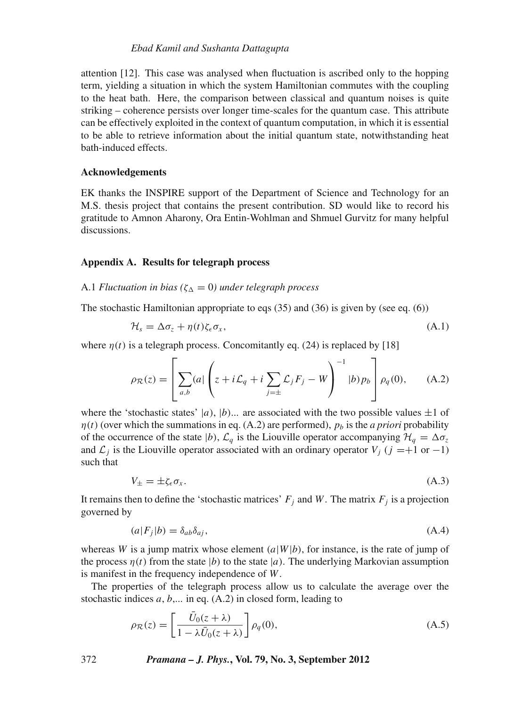# *Ebad Kamil and Sushanta Dattagupta*

attention [12]. This case was analysed when fluctuation is ascribed only to the hopping term, yielding a situation in which the system Hamiltonian commutes with the coupling to the heat bath. Here, the comparison between classical and quantum noises is quite striking – coherence persists over longer time-scales for the quantum case. This attribute can be effectively exploited in the context of quantum computation, in which it is essential to be able to retrieve information about the initial quantum state, notwithstanding heat bath-induced effects.

## **Acknowledgements**

EK thanks the INSPIRE support of the Department of Science and Technology for an M.S. thesis project that contains the present contribution. SD would like to record his gratitude to Amnon Aharony, Ora Entin-Wohlman and Shmuel Gurvitz for many helpful discussions.

# **Appendix A. Results for telegraph process**

# A.1 *Fluctuation in bias* ( $\zeta_{\Delta} = 0$ ) under telegraph process

The stochastic Hamiltonian appropriate to eqs (35) and (36) is given by (see eq. (6))

$$
\mathcal{H}_s = \Delta \sigma_z + \eta(t) \zeta_\epsilon \sigma_x, \tag{A.1}
$$

where  $\eta(t)$  is a telegraph process. Concomitantly eq. (24) is replaced by [18]

$$
\rho_{\mathcal{R}}(z) = \left[ \sum_{a,b} (a) \left( z + i \mathcal{L}_q + i \sum_{j=\pm} \mathcal{L}_j F_j - W \right)^{-1} |b\rangle p_b \right] \rho_q(0), \quad (A.2)
$$

where the 'stochastic states'  $|a|$ ,  $|b|$ ... are associated with the two possible values  $\pm 1$  of  $\eta(t)$  (over which the summations in eq. (A.2) are performed),  $p_b$  is the *a priori* probability of the occurrence of the state  $|b|$ ,  $\mathcal{L}_q$  is the Liouville operator accompanying  $\mathcal{H}_q = \Delta \sigma_z$ and  $\mathcal{L}_j$  is the Liouville operator associated with an ordinary operator  $V_j$  ( $j = +1$  or  $-1$ ) such that

$$
V_{\pm} = \pm \zeta_{\epsilon} \sigma_x. \tag{A.3}
$$

It remains then to define the 'stochastic matrices'  $F_j$  and  $W$ . The matrix  $F_j$  is a projection governed by

$$
(a|F_j|b) = \delta_{ab}\delta_{aj},\tag{A.4}
$$

whereas *W* is a jump matrix whose element  $(a|W|b)$ , for instance, is the rate of jump of the process  $\eta(t)$  from the state |*b*) to the state |*a*). The underlying Markovian assumption is manifest in the frequency independence of *W*.

The properties of the telegraph process allow us to calculate the average over the stochastic indices *a*, *b*,... in eq. (A.2) in closed form, leading to

$$
\rho_{\mathcal{R}}(z) = \left[\frac{\bar{U}_0(z+\lambda)}{1-\lambda \bar{U}_0(z+\lambda)}\right] \rho_q(0),\tag{A.5}
$$

372 *Pramana – J. Phys.***, Vol. 79, No. 3, September 2012**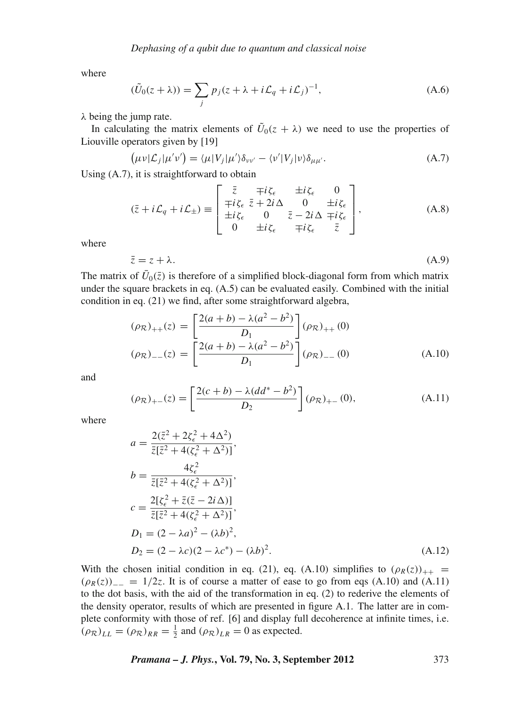where

$$
(\tilde{U}_0(z+\lambda)) = \sum_j p_j(z+\lambda + i\mathcal{L}_q + i\mathcal{L}_j)^{-1},
$$
\n(A.6)

 $\lambda$  being the jump rate.

In calculating the matrix elements of  $\tilde{U}_0(z + \lambda)$  we need to use the properties of Liouville operators given by [19]

$$
(\mu\nu|\mathcal{L}_j|\mu'\nu') = \langle \mu|V_j|\mu'\rangle \delta_{\nu\nu'} - \langle \nu'|V_j|\nu\rangle \delta_{\mu\mu'}.
$$
\n(A.7)

Using (A.7), it is straightforward to obtain

$$
(\bar{z} + i\mathcal{L}_q + i\mathcal{L}_\pm) \equiv \begin{bmatrix} \bar{z} & \mp i\zeta_\epsilon & \pm i\zeta_\epsilon & 0\\ \mp i\zeta_\epsilon & \bar{z} + 2i\Delta & 0 & \pm i\zeta_\epsilon\\ \pm i\zeta_\epsilon & 0 & \bar{z} - 2i\Delta & \mp i\zeta_\epsilon\\ 0 & \pm i\zeta_\epsilon & \mp i\zeta_\epsilon & \bar{z} \end{bmatrix},\tag{A.8}
$$

where

$$
\bar{z} = z + \lambda. \tag{A.9}
$$

The matrix of  $\bar{U}_0(\bar{z})$  is therefore of a simplified block-diagonal form from which matrix under the square brackets in eq. (A.5) can be evaluated easily. Combined with the initial condition in eq. (21) we find, after some straightforward algebra,

$$
(\rho_{\mathcal{R}})_{++}(z) = \left[\frac{2(a+b) - \lambda(a^2 - b^2)}{D_1}\right](\rho_{\mathcal{R}})_{++}(0)
$$

$$
(\rho_{\mathcal{R}})_{--}(z) = \left[\frac{2(a+b) - \lambda(a^2 - b^2)}{D_1}\right](\rho_{\mathcal{R}})_{--}(0)
$$
(A.10)

and

$$
(\rho_{\mathcal{R}})_{+-}(z) = \left[\frac{2(c+b) - \lambda(dd^* - b^2)}{D_2}\right](\rho_{\mathcal{R}})_{+-}(0),\tag{A.11}
$$

where

$$
a = \frac{2(\bar{z}^2 + 2\zeta_{\epsilon}^2 + 4\Delta^2)}{\bar{z}[\bar{z}^2 + 4(\zeta_{\epsilon}^2 + \Delta^2)]},
$$
  
\n
$$
b = \frac{4\zeta_{\epsilon}^2}{\bar{z}[\bar{z}^2 + 4(\zeta_{\epsilon}^2 + \Delta^2)]},
$$
  
\n
$$
c = \frac{2[\zeta_{\epsilon}^2 + \bar{z}(\bar{z} - 2i\Delta)]}{\bar{z}[\bar{z}^2 + 4(\zeta_{\epsilon}^2 + \Delta^2)]},
$$
  
\n
$$
D_1 = (2 - \lambda a)^2 - (\lambda b)^2,
$$
  
\n
$$
D_2 = (2 - \lambda c)(2 - \lambda c^*) - (\lambda b)^2.
$$
\n(A.12)

With the chosen initial condition in eq. (21), eq. (A.10) simplifies to  $(\rho_R(z))_{++}$  =  $(\rho_R(z))_{--} = 1/2z$ . It is of course a matter of ease to go from eqs (A.10) and (A.11) to the dot basis, with the aid of the transformation in eq. (2) to rederive the elements of the density operator, results of which are presented in figure A.1. The latter are in complete conformity with those of ref. [6] and display full decoherence at infinite times, i.e.  $(\rho_R)_{LL} = (\rho_R)_{RR} = \frac{1}{2}$  and  $(\rho_R)_{LR} = 0$  as expected.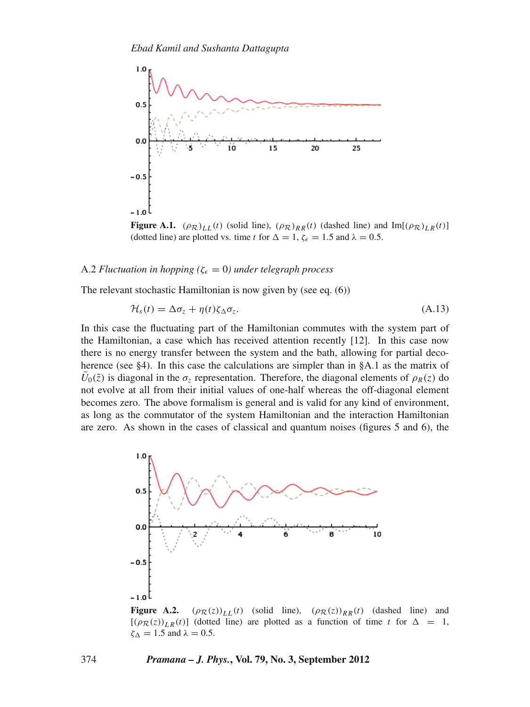

**Figure A.1.**  $(\rho_{\mathcal{R}})_{LL}(t)$  (solid line),  $(\rho_{\mathcal{R}})_{RR}(t)$  (dashed line) and Im[ $(\rho_{\mathcal{R}})_{LR}(t)$ ] (dotted line) are plotted vs. time *t* for  $\Delta = 1$ ,  $\zeta_{\epsilon} = 1.5$  and  $\lambda = 0.5$ .

#### A.2 *Fluctuation in hopping* ( $\zeta_{\epsilon} = 0$ ) *under telegraph process*

The relevant stochastic Hamiltonian is now given by (see eq. (6))

$$
\mathcal{H}_s(t) = \Delta \sigma_z + \eta(t) \zeta_{\Delta} \sigma_z. \tag{A.13}
$$

In this case the fluctuating part of the Hamiltonian commutes with the system part of the Hamiltonian, a case which has received attention recently [12]. In this case now there is no energy transfer between the system and the bath, allowing for partial decoherence (see §4). In this case the calculations are simpler than in §A.1 as the matrix of  $\bar{U}_0(\bar{z})$  is diagonal in the  $\sigma_z$  representation. Therefore, the diagonal elements of  $\rho_R(z)$  do not evolve at all from their initial values of one-half whereas the off-diagonal element becomes zero. The above formalism is general and is valid for any kind of environment, as long as the commutator of the system Hamiltonian and the interaction Hamiltonian are zero. As shown in the cases of classical and quantum noises (figures 5 and 6), the



**Figure A.2.**  $(\rho_R(z))_{LL}(t)$  (solid line),  $(\rho_R(z))_{RR}(t)$  (dashed line) and  $[(\rho_R(z))_{LR}(t)]$  (dotted line) are plotted as a function of time *t* for  $\Delta = 1$ ,  $\zeta_{\Delta} = 1.5$  and  $\lambda = 0.5$ .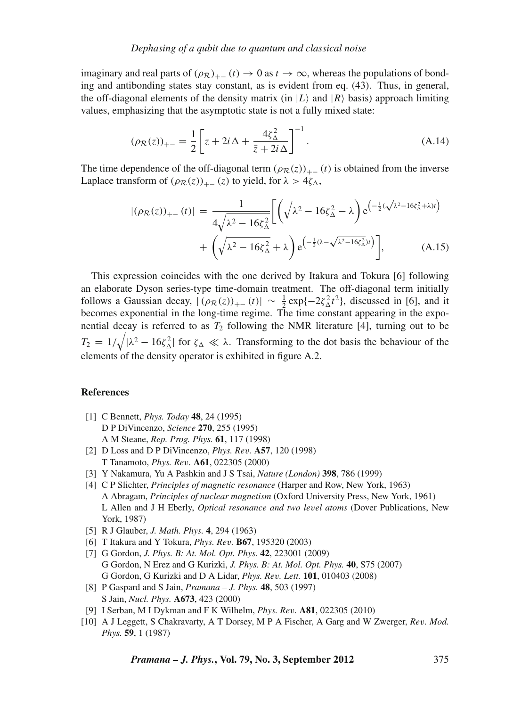imaginary and real parts of  $(\rho_R)_{+-}(t) \to 0$  as  $t \to \infty$ , whereas the populations of bonding and antibonding states stay constant, as is evident from eq. (43). Thus, in general, the off-diagonal elements of the density matrix (in  $|L\rangle$  and  $|R\rangle$  basis) approach limiting values, emphasizing that the asymptotic state is not a fully mixed state:

$$
(\rho_{\mathcal{R}}(z))_{+-} = \frac{1}{2} \left[ z + 2i\,\Delta + \frac{4\zeta_{\Delta}^2}{\bar{z} + 2i\,\Delta} \right]^{-1}.
$$
 (A.14)

The time dependence of the off-diagonal term  $(\rho_R(z))_{+-}(t)$  is obtained from the inverse Laplace transform of  $(\rho_{\mathcal{R}}(z))_{+-}(z)$  to yield, for  $\lambda > 4\zeta_{\Delta}$ ,

$$
|(\rho_{\mathcal{R}}(z))_{+-}(t)| = \frac{1}{4\sqrt{\lambda^2 - 16\zeta_{\Delta}^2}} \Biggl[ \Biggl( \sqrt{\lambda^2 - 16\zeta_{\Delta}^2} - \lambda \Biggr) e^{\left(-\frac{1}{2}(\sqrt{\lambda^2 - 16\zeta_{\Delta}^2} + \lambda)t\right)} + \Biggl( \sqrt{\lambda^2 - 16\zeta_{\Delta}^2} + \lambda \Biggr) e^{\left(-\frac{1}{2}(\lambda - \sqrt{\lambda^2 - 16\zeta_{\Delta}^2})t\right)} \Biggr],
$$
 (A.15)

This expression coincides with the one derived by Itakura and Tokura [6] following an elaborate Dyson series-type time-domain treatment. The off-diagonal term initially follows a Gaussian decay,  $|(\rho_R(z))_{+-}(t)| \sim \frac{1}{2} \exp\{-2\zeta_\Delta^2 t^2\}$ , discussed in [6], and it becomes exponential in the long-time regime. The time constant appearing in the exponential decay is referred to as  $T_2$  following the NMR literature [4], turning out to be  $T_2 = 1/\sqrt{|\lambda^2 - 16\zeta_\Delta^2|}$  for  $\zeta_\Delta \ll \lambda$ . Transforming to the dot basis the behaviour of the elements of the density operator is exhibited in figure A.2.

# **References**

- [1] C Bennett, *Phys. Today* **48**, 24 (1995) D P DiVincenzo, *Science* **270**, 255 (1995) A M Steane, *Rep. Prog. Phys.* **61**, 117 (1998)
- [2] D Loss and D P DiVincenzo, *Phys. Re*v*.* **A57**, 120 (1998) T Tanamoto, *Phys. Re*v*.* **A61**, 022305 (2000)
- [3] Y Nakamura, Yu A Pashkin and J S Tsai, *Nature (London)* **398**, 786 (1999)
- [4] C P Slichter, *Principles of magnetic resonance* (Harper and Row, New York, 1963) A Abragam, *Principles of nuclear magnetism* (Oxford University Press, New York, 1961) L Allen and J H Eberly, *Optical resonance and two le*v*el atoms* (Dover Publications, New York, 1987)
- [5] R J Glauber, *J. Math. Phys.* **4**, 294 (1963)
- [6] T Itakura and Y Tokura, *Phys. Re*v*.* **B67**, 195320 (2003)
- [7] G Gordon, *J. Phys. B: At. Mol. Opt. Phys.* **42**, 223001 (2009) G Gordon, N Erez and G Kurizki, *J. Phys. B: At. Mol. Opt. Phys.* **40**, S75 (2007) G Gordon, G Kurizki and D A Lidar, *Phys. Re*v*. Lett.* **101**, 010403 (2008)
- [8] P Gaspard and S Jain, *Pramana J. Phys.* **48**, 503 (1997) S Jain, *Nucl. Phys.* **A673**, 423 (2000)
- [9] I Serban, M I Dykman and F K Wilhelm, *Phys. Re*v*.* **A81**, 022305 (2010)
- [10] A J Leggett, S Chakravarty, A T Dorsey, M P A Fischer, A Garg and W Zwerger, *Re*v*. Mod. Phys.* **59**, 1 (1987)